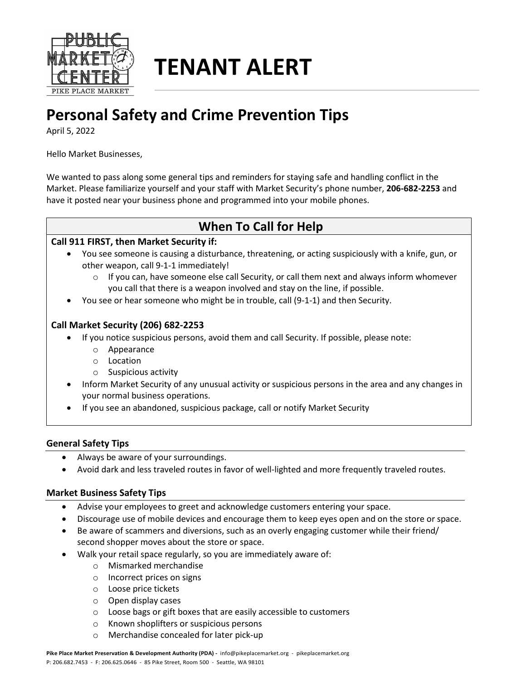

# **TENANT ALERT**

## **Personal Safety and Crime Prevention Tips**

April 5, 2022

Hello Market Businesses,

We wanted to pass along some general tips and reminders for staying safe and handling conflict in the Market. Please familiarize yourself and your staff with Market Security's phone number, **206-682-2253** and have it posted near your business phone and programmed into your mobile phones.

### **When To Call for Help**

#### **Call 911 FIRST, then Market Security if:**

- You see someone is causing a disturbance, threatening, or acting suspiciously with a knife, gun, or other weapon, call 9-1-1 immediately!
	- $\circ$  If you can, have someone else call Security, or call them next and always inform whomever you call that there is a weapon involved and stay on the line, if possible.
- You see or hear someone who might be in trouble, call (9-1-1) and then Security.

#### **Call Market Security (206) 682-2253**

- If you notice suspicious persons, avoid them and call Security. If possible, please note:
	- o Appearance
	- o Location
	- o Suspicious activity
- Inform Market Security of any unusual activity or suspicious persons in the area and any changes in your normal business operations.
- If you see an abandoned, suspicious package, call or notify Market Security

#### **General Safety Tips**

- Always be aware of your surroundings.
- Avoid dark and less traveled routes in favor of well-lighted and more frequently traveled routes.

#### **Market Business Safety Tips**

- Advise your employees to greet and acknowledge customers entering your space.
- Discourage use of mobile devices and encourage them to keep eyes open and on the store or space.
- Be aware of scammers and diversions, such as an overly engaging customer while their friend/ second shopper moves about the store or space.
- Walk your retail space regularly, so you are immediately aware of:
	- o Mismarked merchandise
	- o Incorrect prices on signs
	- o Loose price tickets
	- o Open display cases
	- o Loose bags or gift boxes that are easily accessible to customers
	- o Known shoplifters or suspicious persons
	- o Merchandise concealed for later pick-up